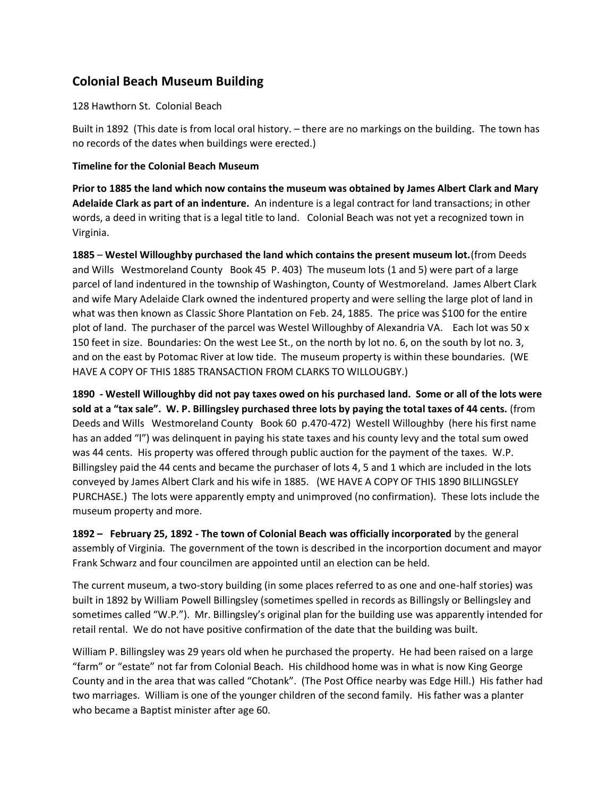# **Colonial Beach Museum Building**

### 128 Hawthorn St. Colonial Beach

Built in 1892 (This date is from local oral history. – there are no markings on the building. The town has no records of the dates when buildings were erected.)

### **Timeline for the Colonial Beach Museum**

**Prior to 1885 the land which now contains the museum was obtained by James Albert Clark and Mary Adelaide Clark as part of an indenture.** An indenture is a legal contract for land transactions; in other words, a deed in writing that is a legal title to land. Colonial Beach was not yet a recognized town in Virginia.

**1885** – **Westel Willoughby purchased the land which contains the present museum lot.**(from Deeds and Wills Westmoreland County Book 45 P. 403) The museum lots (1 and 5) were part of a large parcel of land indentured in the township of Washington, County of Westmoreland. James Albert Clark and wife Mary Adelaide Clark owned the indentured property and were selling the large plot of land in what was then known as Classic Shore Plantation on Feb. 24, 1885. The price was \$100 for the entire plot of land. The purchaser of the parcel was Westel Willoughby of Alexandria VA. Each lot was 50 x 150 feet in size. Boundaries: On the west Lee St., on the north by lot no. 6, on the south by lot no. 3, and on the east by Potomac River at low tide. The museum property is within these boundaries. (WE HAVE A COPY OF THIS 1885 TRANSACTION FROM CLARKS TO WILLOUGBY.)

**1890 - Westell Willoughby did not pay taxes owed on his purchased land. Some or all of the lots were sold at a "tax sale". W. P. Billingsley purchased three lots by paying the total taxes of 44 cents.** (from Deeds and Wills Westmoreland County Book 60 p.470-472) Westell Willoughby (here his first name has an added "l") was delinquent in paying his state taxes and his county levy and the total sum owed was 44 cents. His property was offered through public auction for the payment of the taxes. W.P. Billingsley paid the 44 cents and became the purchaser of lots 4, 5 and 1 which are included in the lots conveyed by James Albert Clark and his wife in 1885. (WE HAVE A COPY OF THIS 1890 BILLINGSLEY PURCHASE.) The lots were apparently empty and unimproved (no confirmation). These lots include the museum property and more.

**1892 – February 25, 1892 - The town of Colonial Beach was officially incorporated** by the general assembly of Virginia. The government of the town is described in the incorportion document and mayor Frank Schwarz and four councilmen are appointed until an election can be held.

The current museum, a two-story building (in some places referred to as one and one-half stories) was built in 1892 by William Powell Billingsley (sometimes spelled in records as Billingsly or Bellingsley and sometimes called "W.P."). Mr. Billingsley's original plan for the building use was apparently intended for retail rental. We do not have positive confirmation of the date that the building was built.

William P. Billingsley was 29 years old when he purchased the property. He had been raised on a large "farm" or "estate" not far from Colonial Beach. His childhood home was in what is now King George County and in the area that was called "Chotank". (The Post Office nearby was Edge Hill.) His father had two marriages. William is one of the younger children of the second family. His father was a planter who became a Baptist minister after age 60.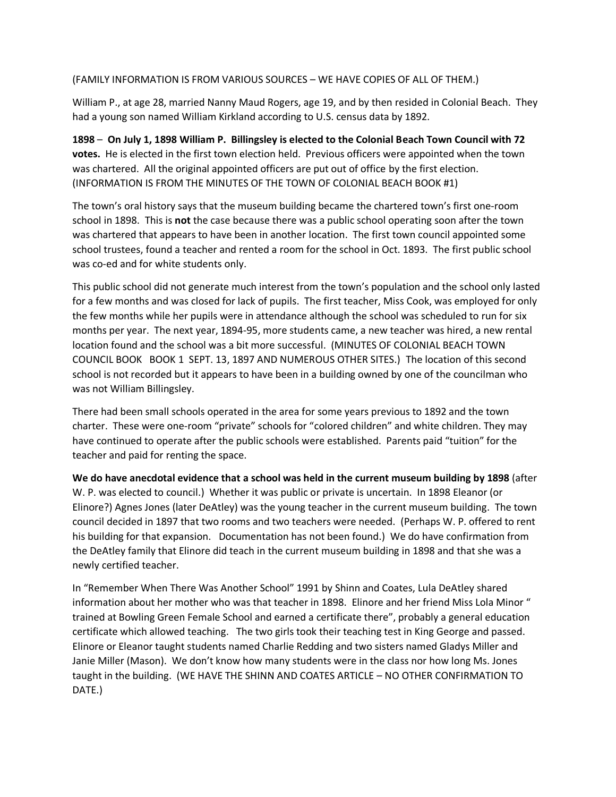#### (FAMILY INFORMATION IS FROM VARIOUS SOURCES – WE HAVE COPIES OF ALL OF THEM.)

William P., at age 28, married Nanny Maud Rogers, age 19, and by then resided in Colonial Beach. They had a young son named William Kirkland according to U.S. census data by 1892.

**1898** – **On July 1, 1898 William P. Billingsley is elected to the Colonial Beach Town Council with 72 votes.** He is elected in the first town election held. Previous officers were appointed when the town was chartered. All the original appointed officers are put out of office by the first election. (INFORMATION IS FROM THE MINUTES OF THE TOWN OF COLONIAL BEACH BOOK #1)

The town's oral history says that the museum building became the chartered town's first one-room school in 1898. This is **not** the case because there was a public school operating soon after the town was chartered that appears to have been in another location. The first town council appointed some school trustees, found a teacher and rented a room for the school in Oct. 1893. The first public school was co-ed and for white students only.

This public school did not generate much interest from the town's population and the school only lasted for a few months and was closed for lack of pupils. The first teacher, Miss Cook, was employed for only the few months while her pupils were in attendance although the school was scheduled to run for six months per year. The next year, 1894-95, more students came, a new teacher was hired, a new rental location found and the school was a bit more successful. (MINUTES OF COLONIAL BEACH TOWN COUNCIL BOOK BOOK 1 SEPT. 13, 1897 AND NUMEROUS OTHER SITES.) The location of this second school is not recorded but it appears to have been in a building owned by one of the councilman who was not William Billingsley.

There had been small schools operated in the area for some years previous to 1892 and the town charter. These were one-room "private" schools for "colored children" and white children. They may have continued to operate after the public schools were established. Parents paid "tuition" for the teacher and paid for renting the space.

**We do have anecdotal evidence that a school was held in the current museum building by 1898** (after W. P. was elected to council.) Whether it was public or private is uncertain. In 1898 Eleanor (or Elinore?) Agnes Jones (later DeAtley) was the young teacher in the current museum building. The town council decided in 1897 that two rooms and two teachers were needed. (Perhaps W. P. offered to rent his building for that expansion. Documentation has not been found.) We do have confirmation from the DeAtley family that Elinore did teach in the current museum building in 1898 and that she was a newly certified teacher.

In "Remember When There Was Another School" 1991 by Shinn and Coates, Lula DeAtley shared information about her mother who was that teacher in 1898. Elinore and her friend Miss Lola Minor " trained at Bowling Green Female School and earned a certificate there", probably a general education certificate which allowed teaching. The two girls took their teaching test in King George and passed. Elinore or Eleanor taught students named Charlie Redding and two sisters named Gladys Miller and Janie Miller (Mason). We don't know how many students were in the class nor how long Ms. Jones taught in the building. (WE HAVE THE SHINN AND COATES ARTICLE – NO OTHER CONFIRMATION TO DATE.)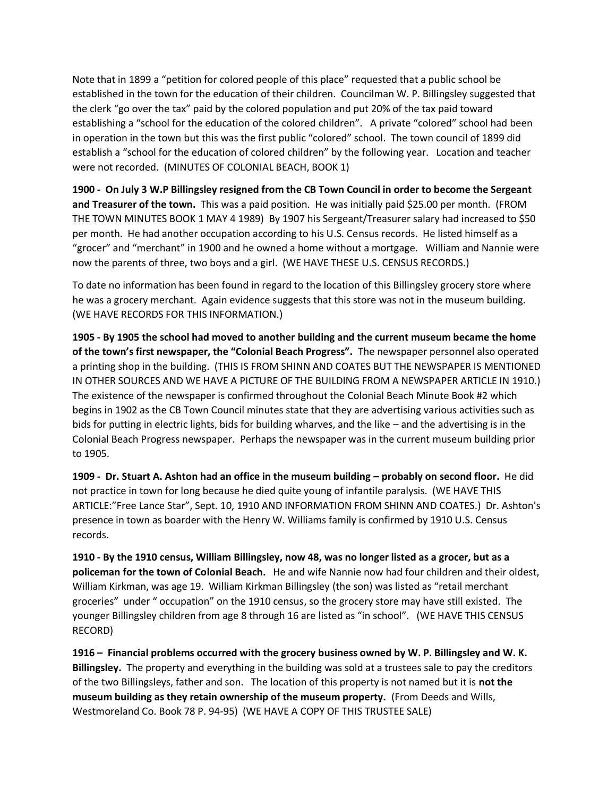Note that in 1899 a "petition for colored people of this place" requested that a public school be established in the town for the education of their children. Councilman W. P. Billingsley suggested that the clerk "go over the tax" paid by the colored population and put 20% of the tax paid toward establishing a "school for the education of the colored children". A private "colored" school had been in operation in the town but this was the first public "colored" school. The town council of 1899 did establish a "school for the education of colored children" by the following year. Location and teacher were not recorded. (MINUTES OF COLONIAL BEACH, BOOK 1)

**1900 - On July 3 W.P Billingsley resigned from the CB Town Council in order to become the Sergeant and Treasurer of the town.** This was a paid position. He was initially paid \$25.00 per month. (FROM THE TOWN MINUTES BOOK 1 MAY 4 1989) By 1907 his Sergeant/Treasurer salary had increased to \$50 per month. He had another occupation according to his U.S. Census records. He listed himself as a "grocer" and "merchant" in 1900 and he owned a home without a mortgage. William and Nannie were now the parents of three, two boys and a girl. (WE HAVE THESE U.S. CENSUS RECORDS.)

To date no information has been found in regard to the location of this Billingsley grocery store where he was a grocery merchant. Again evidence suggests that this store was not in the museum building. (WE HAVE RECORDS FOR THIS INFORMATION.)

**1905 - By 1905 the school had moved to another building and the current museum became the home of the town's first newspaper, the "Colonial Beach Progress".** The newspaper personnel also operated a printing shop in the building. (THIS IS FROM SHINN AND COATES BUT THE NEWSPAPER IS MENTIONED IN OTHER SOURCES AND WE HAVE A PICTURE OF THE BUILDING FROM A NEWSPAPER ARTICLE IN 1910.) The existence of the newspaper is confirmed throughout the Colonial Beach Minute Book #2 which begins in 1902 as the CB Town Council minutes state that they are advertising various activities such as bids for putting in electric lights, bids for building wharves, and the like – and the advertising is in the Colonial Beach Progress newspaper. Perhaps the newspaper was in the current museum building prior to 1905.

**1909 - Dr. Stuart A. Ashton had an office in the museum building – probably on second floor.** He did not practice in town for long because he died quite young of infantile paralysis. (WE HAVE THIS ARTICLE:"Free Lance Star", Sept. 10, 1910 AND INFORMATION FROM SHINN AND COATES.) Dr. Ashton's presence in town as boarder with the Henry W. Williams family is confirmed by 1910 U.S. Census records.

**1910 - By the 1910 census, William Billingsley, now 48, was no longer listed as a grocer, but as a policeman for the town of Colonial Beach.** He and wife Nannie now had four children and their oldest, William Kirkman, was age 19. William Kirkman Billingsley (the son) was listed as "retail merchant groceries" under " occupation" on the 1910 census, so the grocery store may have still existed. The younger Billingsley children from age 8 through 16 are listed as "in school". (WE HAVE THIS CENSUS RECORD)

**1916 – Financial problems occurred with the grocery business owned by W. P. Billingsley and W. K. Billingsley.** The property and everything in the building was sold at a trustees sale to pay the creditors of the two Billingsleys, father and son. The location of this property is not named but it is **not the museum building as they retain ownership of the museum property.** (From Deeds and Wills, Westmoreland Co. Book 78 P. 94-95) (WE HAVE A COPY OF THIS TRUSTEE SALE)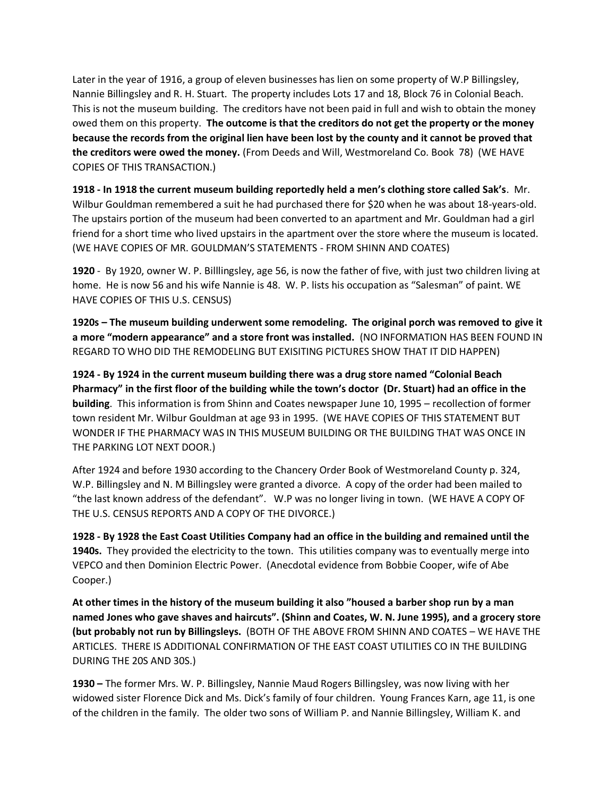Later in the year of 1916, a group of eleven businesses has lien on some property of W.P Billingsley, Nannie Billingsley and R. H. Stuart. The property includes Lots 17 and 18, Block 76 in Colonial Beach. This is not the museum building. The creditors have not been paid in full and wish to obtain the money owed them on this property. **The outcome is that the creditors do not get the property or the money because the records from the original lien have been lost by the county and it cannot be proved that the creditors were owed the money.** (From Deeds and Will, Westmoreland Co. Book 78) (WE HAVE COPIES OF THIS TRANSACTION.)

**1918 - In 1918 the current museum building reportedly held a men's clothing store called Sak's**. Mr. Wilbur Gouldman remembered a suit he had purchased there for \$20 when he was about 18-years-old. The upstairs portion of the museum had been converted to an apartment and Mr. Gouldman had a girl friend for a short time who lived upstairs in the apartment over the store where the museum is located. (WE HAVE COPIES OF MR. GOULDMAN'S STATEMENTS - FROM SHINN AND COATES)

**1920** - By 1920, owner W. P. Billlingsley, age 56, is now the father of five, with just two children living at home. He is now 56 and his wife Nannie is 48. W. P. lists his occupation as "Salesman" of paint. WE HAVE COPIES OF THIS U.S. CENSUS)

**1920s – The museum building underwent some remodeling. The original porch was removed to give it a more "modern appearance" and a store front was installed.** (NO INFORMATION HAS BEEN FOUND IN REGARD TO WHO DID THE REMODELING BUT EXISITING PICTURES SHOW THAT IT DID HAPPEN)

**1924 - By 1924 in the current museum building there was a drug store named "Colonial Beach Pharmacy" in the first floor of the building while the town's doctor (Dr. Stuart) had an office in the building**. This information is from Shinn and Coates newspaper June 10, 1995 – recollection of former town resident Mr. Wilbur Gouldman at age 93 in 1995. (WE HAVE COPIES OF THIS STATEMENT BUT WONDER IF THE PHARMACY WAS IN THIS MUSEUM BUILDING OR THE BUILDING THAT WAS ONCE IN THE PARKING LOT NEXT DOOR.)

After 1924 and before 1930 according to the Chancery Order Book of Westmoreland County p. 324, W.P. Billingsley and N. M Billingsley were granted a divorce. A copy of the order had been mailed to "the last known address of the defendant". W.P was no longer living in town. (WE HAVE A COPY OF THE U.S. CENSUS REPORTS AND A COPY OF THE DIVORCE.)

**1928 - By 1928 the East Coast Utilities Company had an office in the building and remained until the 1940s.** They provided the electricity to the town. This utilities company was to eventually merge into VEPCO and then Dominion Electric Power. (Anecdotal evidence from Bobbie Cooper, wife of Abe Cooper.)

**At other times in the history of the museum building it also "housed a barber shop run by a man named Jones who gave shaves and haircuts". (Shinn and Coates, W. N. June 1995), and a grocery store (but probably not run by Billingsleys.** (BOTH OF THE ABOVE FROM SHINN AND COATES – WE HAVE THE ARTICLES. THERE IS ADDITIONAL CONFIRMATION OF THE EAST COAST UTILITIES CO IN THE BUILDING DURING THE 20S AND 30S.)

**1930 –** The former Mrs. W. P. Billingsley, Nannie Maud Rogers Billingsley, was now living with her widowed sister Florence Dick and Ms. Dick's family of four children. Young Frances Karn, age 11, is one of the children in the family. The older two sons of William P. and Nannie Billingsley, William K. and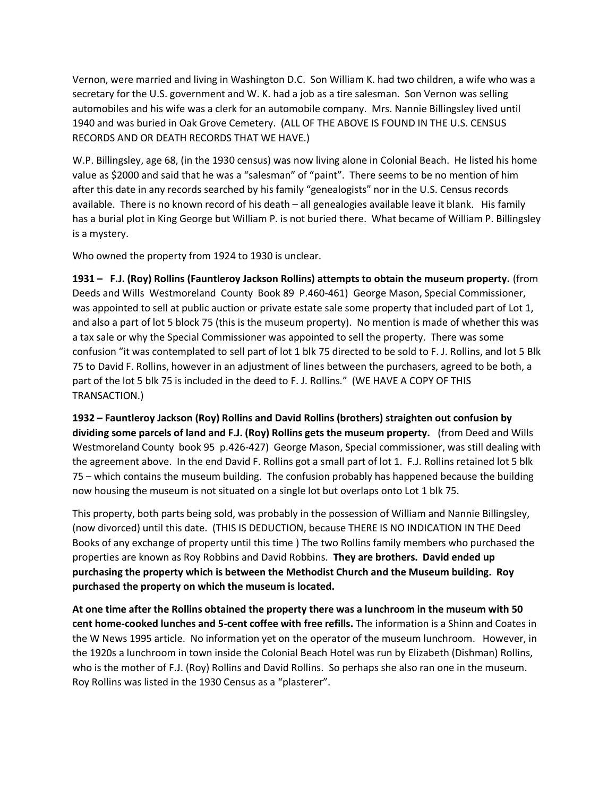Vernon, were married and living in Washington D.C. Son William K. had two children, a wife who was a secretary for the U.S. government and W. K. had a job as a tire salesman. Son Vernon was selling automobiles and his wife was a clerk for an automobile company. Mrs. Nannie Billingsley lived until 1940 and was buried in Oak Grove Cemetery. (ALL OF THE ABOVE IS FOUND IN THE U.S. CENSUS RECORDS AND OR DEATH RECORDS THAT WE HAVE.)

W.P. Billingsley, age 68, (in the 1930 census) was now living alone in Colonial Beach. He listed his home value as \$2000 and said that he was a "salesman" of "paint". There seems to be no mention of him after this date in any records searched by his family "genealogists" nor in the U.S. Census records available. There is no known record of his death – all genealogies available leave it blank. His family has a burial plot in King George but William P. is not buried there. What became of William P. Billingsley is a mystery.

Who owned the property from 1924 to 1930 is unclear.

**1931 – F.J. (Roy) Rollins (Fauntleroy Jackson Rollins) attempts to obtain the museum property.** (from Deeds and Wills Westmoreland County Book 89 P.460-461) George Mason, Special Commissioner, was appointed to sell at public auction or private estate sale some property that included part of Lot 1, and also a part of lot 5 block 75 (this is the museum property). No mention is made of whether this was a tax sale or why the Special Commissioner was appointed to sell the property. There was some confusion "it was contemplated to sell part of lot 1 blk 75 directed to be sold to F. J. Rollins, and lot 5 Blk 75 to David F. Rollins, however in an adjustment of lines between the purchasers, agreed to be both, a part of the lot 5 blk 75 is included in the deed to F. J. Rollins." (WE HAVE A COPY OF THIS TRANSACTION.)

**1932 – Fauntleroy Jackson (Roy) Rollins and David Rollins (brothers) straighten out confusion by dividing some parcels of land and F.J. (Roy) Rollins gets the museum property.** (from Deed and Wills Westmoreland County book 95 p.426-427) George Mason, Special commissioner, was still dealing with the agreement above. In the end David F. Rollins got a small part of lot 1. F.J. Rollins retained lot 5 blk 75 – which contains the museum building. The confusion probably has happened because the building now housing the museum is not situated on a single lot but overlaps onto Lot 1 blk 75.

This property, both parts being sold, was probably in the possession of William and Nannie Billingsley, (now divorced) until this date. (THIS IS DEDUCTION, because THERE IS NO INDICATION IN THE Deed Books of any exchange of property until this time ) The two Rollins family members who purchased the properties are known as Roy Robbins and David Robbins. **They are brothers. David ended up purchasing the property which is between the Methodist Church and the Museum building. Roy purchased the property on which the museum is located.**

**At one time after the Rollins obtained the property there was a lunchroom in the museum with 50 cent home-cooked lunches and 5-cent coffee with free refills.** The information is a Shinn and Coates in the W News 1995 article. No information yet on the operator of the museum lunchroom. However, in the 1920s a lunchroom in town inside the Colonial Beach Hotel was run by Elizabeth (Dishman) Rollins, who is the mother of F.J. (Roy) Rollins and David Rollins. So perhaps she also ran one in the museum. Roy Rollins was listed in the 1930 Census as a "plasterer".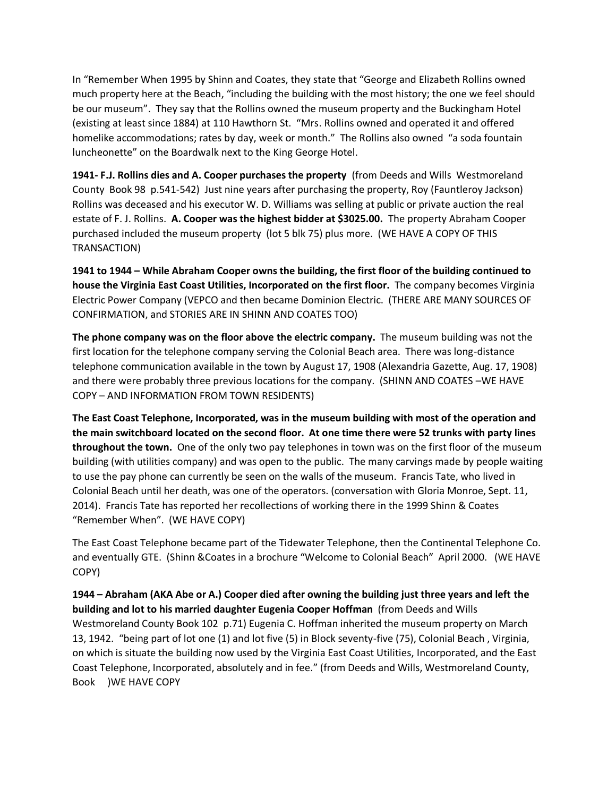In "Remember When 1995 by Shinn and Coates, they state that "George and Elizabeth Rollins owned much property here at the Beach, "including the building with the most history; the one we feel should be our museum". They say that the Rollins owned the museum property and the Buckingham Hotel (existing at least since 1884) at 110 Hawthorn St. "Mrs. Rollins owned and operated it and offered homelike accommodations; rates by day, week or month." The Rollins also owned "a soda fountain luncheonette" on the Boardwalk next to the King George Hotel.

**1941- F.J. Rollins dies and A. Cooper purchases the property** (from Deeds and Wills Westmoreland County Book 98 p.541-542) Just nine years after purchasing the property, Roy (Fauntleroy Jackson) Rollins was deceased and his executor W. D. Williams was selling at public or private auction the real estate of F. J. Rollins. **A. Cooper was the highest bidder at \$3025.00.** The property Abraham Cooper purchased included the museum property (lot 5 blk 75) plus more. (WE HAVE A COPY OF THIS TRANSACTION)

**1941 to 1944 – While Abraham Cooper owns the building, the first floor of the building continued to house the Virginia East Coast Utilities, Incorporated on the first floor.** The company becomes Virginia Electric Power Company (VEPCO and then became Dominion Electric. (THERE ARE MANY SOURCES OF CONFIRMATION, and STORIES ARE IN SHINN AND COATES TOO)

**The phone company was on the floor above the electric company.** The museum building was not the first location for the telephone company serving the Colonial Beach area. There was long-distance telephone communication available in the town by August 17, 1908 (Alexandria Gazette, Aug. 17, 1908) and there were probably three previous locations for the company. (SHINN AND COATES –WE HAVE COPY – AND INFORMATION FROM TOWN RESIDENTS)

**The East Coast Telephone, Incorporated, was in the museum building with most of the operation and the main switchboard located on the second floor. At one time there were 52 trunks with party lines throughout the town.** One of the only two pay telephones in town was on the first floor of the museum building (with utilities company) and was open to the public. The many carvings made by people waiting to use the pay phone can currently be seen on the walls of the museum. Francis Tate, who lived in Colonial Beach until her death, was one of the operators. (conversation with Gloria Monroe, Sept. 11, 2014). Francis Tate has reported her recollections of working there in the 1999 Shinn & Coates "Remember When". (WE HAVE COPY)

The East Coast Telephone became part of the Tidewater Telephone, then the Continental Telephone Co. and eventually GTE. (Shinn &Coates in a brochure "Welcome to Colonial Beach" April 2000. (WE HAVE COPY)

**1944 – Abraham (AKA Abe or A.) Cooper died after owning the building just three years and left the building and lot to his married daughter Eugenia Cooper Hoffman** (from Deeds and Wills Westmoreland County Book 102 p.71) Eugenia C. Hoffman inherited the museum property on March 13, 1942. "being part of lot one (1) and lot five (5) in Block seventy-five (75), Colonial Beach , Virginia, on which is situate the building now used by the Virginia East Coast Utilities, Incorporated, and the East Coast Telephone, Incorporated, absolutely and in fee." (from Deeds and Wills, Westmoreland County, Book )WE HAVE COPY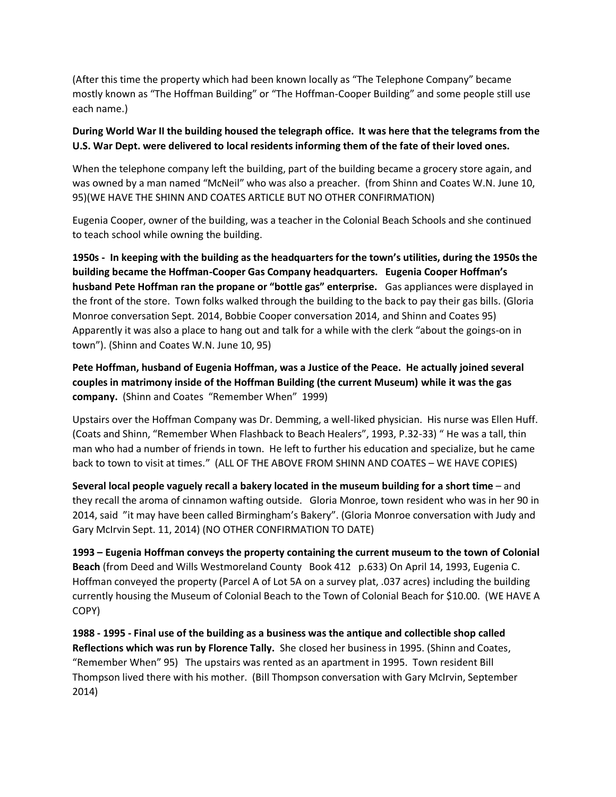(After this time the property which had been known locally as "The Telephone Company" became mostly known as "The Hoffman Building" or "The Hoffman-Cooper Building" and some people still use each name.)

## **During World War II the building housed the telegraph office. It was here that the telegrams from the U.S. War Dept. were delivered to local residents informing them of the fate of their loved ones.**

When the telephone company left the building, part of the building became a grocery store again, and was owned by a man named "McNeil" who was also a preacher. (from Shinn and Coates W.N. June 10, 95)(WE HAVE THE SHINN AND COATES ARTICLE BUT NO OTHER CONFIRMATION)

Eugenia Cooper, owner of the building, was a teacher in the Colonial Beach Schools and she continued to teach school while owning the building.

**1950s - In keeping with the building as the headquarters for the town's utilities, during the 1950s the building became the Hoffman-Cooper Gas Company headquarters. Eugenia Cooper Hoffman's husband Pete Hoffman ran the propane or "bottle gas" enterprise.** Gas appliances were displayed in the front of the store. Town folks walked through the building to the back to pay their gas bills. (Gloria Monroe conversation Sept. 2014, Bobbie Cooper conversation 2014, and Shinn and Coates 95) Apparently it was also a place to hang out and talk for a while with the clerk "about the goings-on in town"). (Shinn and Coates W.N. June 10, 95)

**Pete Hoffman, husband of Eugenia Hoffman, was a Justice of the Peace. He actually joined several couples in matrimony inside of the Hoffman Building (the current Museum) while it was the gas company.** (Shinn and Coates "Remember When" 1999)

Upstairs over the Hoffman Company was Dr. Demming, a well-liked physician. His nurse was Ellen Huff. (Coats and Shinn, "Remember When Flashback to Beach Healers", 1993, P.32-33) " He was a tall, thin man who had a number of friends in town. He left to further his education and specialize, but he came back to town to visit at times." (ALL OF THE ABOVE FROM SHINN AND COATES – WE HAVE COPIES)

**Several local people vaguely recall a bakery located in the museum building for a short time** – and they recall the aroma of cinnamon wafting outside. Gloria Monroe, town resident who was in her 90 in 2014, said "it may have been called Birmingham's Bakery". (Gloria Monroe conversation with Judy and Gary McIrvin Sept. 11, 2014) (NO OTHER CONFIRMATION TO DATE)

**1993 – Eugenia Hoffman conveys the property containing the current museum to the town of Colonial Beach** (from Deed and Wills Westmoreland County Book 412 p.633) On April 14, 1993, Eugenia C. Hoffman conveyed the property (Parcel A of Lot 5A on a survey plat, .037 acres) including the building currently housing the Museum of Colonial Beach to the Town of Colonial Beach for \$10.00. (WE HAVE A COPY)

**1988 - 1995 - Final use of the building as a business was the antique and collectible shop called Reflections which was run by Florence Tally.** She closed her business in 1995. (Shinn and Coates, "Remember When" 95) The upstairs was rented as an apartment in 1995. Town resident Bill Thompson lived there with his mother. (Bill Thompson conversation with Gary McIrvin, September 2014)